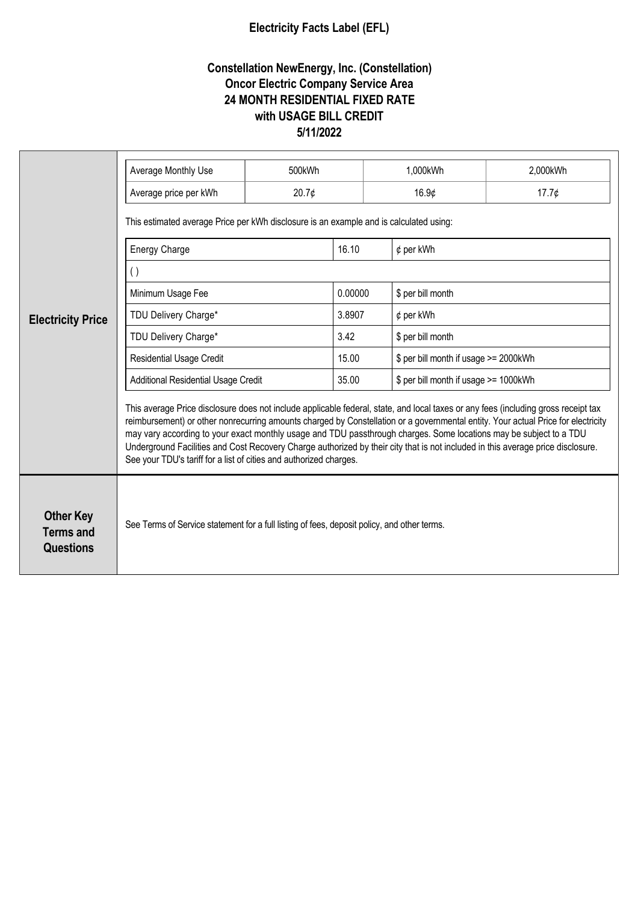## **Electricity Facts Label (EFL)**

## **Constellation NewEnergy, Inc. (Constellation) Oncor Electric Company Service Area 24 MONTH RESIDENTIAL FIXED RATE with USAGE BILL CREDIT 5/11/2022**

| <b>Electricity Price</b>                                 | Average Monthly Use                                                                                                                                                                                                                                                                                                                                                                                                                                                                                                                                                                                    | 500kWh |         | 1,000kWh<br>2,000kWh                  |       |  |
|----------------------------------------------------------|--------------------------------------------------------------------------------------------------------------------------------------------------------------------------------------------------------------------------------------------------------------------------------------------------------------------------------------------------------------------------------------------------------------------------------------------------------------------------------------------------------------------------------------------------------------------------------------------------------|--------|---------|---------------------------------------|-------|--|
|                                                          |                                                                                                                                                                                                                                                                                                                                                                                                                                                                                                                                                                                                        |        |         |                                       |       |  |
|                                                          | Average price per kWh                                                                                                                                                                                                                                                                                                                                                                                                                                                                                                                                                                                  | 20.7¢  |         | 16.9¢                                 | 17.7¢ |  |
|                                                          | This estimated average Price per kWh disclosure is an example and is calculated using:                                                                                                                                                                                                                                                                                                                                                                                                                                                                                                                 |        |         |                                       |       |  |
|                                                          | <b>Energy Charge</b>                                                                                                                                                                                                                                                                                                                                                                                                                                                                                                                                                                                   |        | 16.10   | $¢$ per kWh                           |       |  |
|                                                          | $\left( \ \right)$                                                                                                                                                                                                                                                                                                                                                                                                                                                                                                                                                                                     |        |         |                                       |       |  |
|                                                          | Minimum Usage Fee                                                                                                                                                                                                                                                                                                                                                                                                                                                                                                                                                                                      |        | 0.00000 | \$ per bill month                     |       |  |
|                                                          | TDU Delivery Charge*                                                                                                                                                                                                                                                                                                                                                                                                                                                                                                                                                                                   |        | 3.8907  | $¢$ per kWh                           |       |  |
|                                                          | TDU Delivery Charge*                                                                                                                                                                                                                                                                                                                                                                                                                                                                                                                                                                                   |        | 3.42    | \$ per bill month                     |       |  |
|                                                          | <b>Residential Usage Credit</b>                                                                                                                                                                                                                                                                                                                                                                                                                                                                                                                                                                        |        | 15.00   | \$ per bill month if usage >= 2000kWh |       |  |
|                                                          | <b>Additional Residential Usage Credit</b>                                                                                                                                                                                                                                                                                                                                                                                                                                                                                                                                                             |        | 35.00   | \$ per bill month if usage >= 1000kWh |       |  |
|                                                          | This average Price disclosure does not include applicable federal, state, and local taxes or any fees (including gross receipt tax<br>reimbursement) or other nonrecurring amounts charged by Constellation or a governmental entity. Your actual Price for electricity<br>may vary according to your exact monthly usage and TDU passthrough charges. Some locations may be subject to a TDU<br>Underground Facilities and Cost Recovery Charge authorized by their city that is not included in this average price disclosure.<br>See your TDU's tariff for a list of cities and authorized charges. |        |         |                                       |       |  |
| <b>Other Key</b><br><b>Terms and</b><br><b>Questions</b> | See Terms of Service statement for a full listing of fees, deposit policy, and other terms.                                                                                                                                                                                                                                                                                                                                                                                                                                                                                                            |        |         |                                       |       |  |